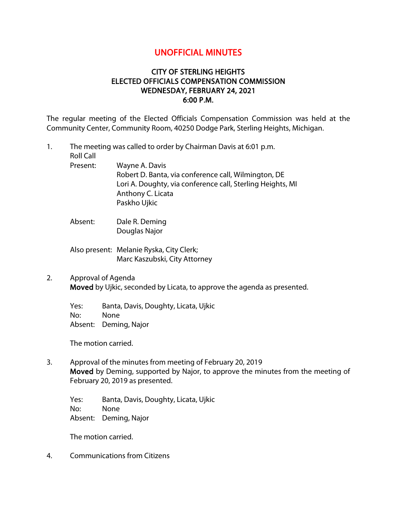# UNOFFICIAL MINUTES

## CITY OF STERLING HEIGHTS ELECTED OFFICIALS COMPENSATION COMMISSION WEDNESDAY, FEBRUARY 24, 2021 6:00 P.M.

The regular meeting of the Elected Officials Compensation Commission was held at the Community Center, Community Room, 40250 Dodge Park, Sterling Heights, Michigan.

- 1. The meeting was called to order by Chairman Davis at 6:01 p.m. Roll Call Present: Wayne A. Davis Robert D. Banta, via conference call, Wilmington, DE Lori A. Doughty, via conference call, Sterling Heights, MI Anthony C. Licata Paskho Ujkic
	- Absent: Dale R. Deming Douglas Najor
	- Also present: Melanie Ryska, City Clerk; Marc Kaszubski, City Attorney
- 2. Approval of Agenda Moved by Ujkic, seconded by Licata, to approve the agenda as presented.

Yes: Banta, Davis, Doughty, Licata, Ujkic No: None Absent: Deming, Najor

The motion carried.

3. Approval of the minutes from meeting of February 20, 2019 Moved by Deming, supported by Najor, to approve the minutes from the meeting of February 20, 2019 as presented.

Yes: Banta, Davis, Doughty, Licata, Ujkic No: None Absent: Deming, Najor

The motion carried.

4. Communications from Citizens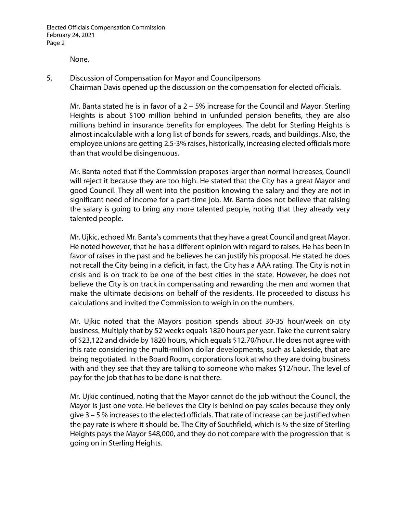None.

5. Discussion of Compensation for Mayor and Councilpersons Chairman Davis opened up the discussion on the compensation for elected officials.

Mr. Banta stated he is in favor of a 2 – 5% increase for the Council and Mayor. Sterling Heights is about \$100 million behind in unfunded pension benefits, they are also millions behind in insurance benefits for employees. The debt for Sterling Heights is almost incalculable with a long list of bonds for sewers, roads, and buildings. Also, the employee unions are getting 2.5-3% raises, historically, increasing elected officials more than that would be disingenuous.

Mr. Banta noted that if the Commission proposes larger than normal increases, Council will reject it because they are too high. He stated that the City has a great Mayor and good Council. They all went into the position knowing the salary and they are not in significant need of income for a part-time job. Mr. Banta does not believe that raising the salary is going to bring any more talented people, noting that they already very talented people.

Mr. Ujkic, echoed Mr. Banta's comments that they have a great Council and great Mayor. He noted however, that he has a different opinion with regard to raises. He has been in favor of raises in the past and he believes he can justify his proposal. He stated he does not recall the City being in a deficit, in fact, the City has a AAA rating. The City is not in crisis and is on track to be one of the best cities in the state. However, he does not believe the City is on track in compensating and rewarding the men and women that make the ultimate decisions on behalf of the residents. He proceeded to discuss his calculations and invited the Commission to weigh in on the numbers.

Mr. Ujkic noted that the Mayors position spends about 30-35 hour/week on city business. Multiply that by 52 weeks equals 1820 hours per year. Take the current salary of \$23,122 and divide by 1820 hours, which equals \$12.70/hour. He does not agree with this rate considering the multi-million dollar developments, such as Lakeside, that are being negotiated. In the Board Room, corporations look at who they are doing business with and they see that they are talking to someone who makes \$12/hour. The level of pay for the job that has to be done is not there.

Mr. Ujkic continued, noting that the Mayor cannot do the job without the Council, the Mayor is just one vote. He believes the City is behind on pay scales because they only give 3 – 5 % increases to the elected officials. That rate of increase can be justified when the pay rate is where it should be. The City of Southfield, which is ½ the size of Sterling Heights pays the Mayor \$48,000, and they do not compare with the progression that is going on in Sterling Heights.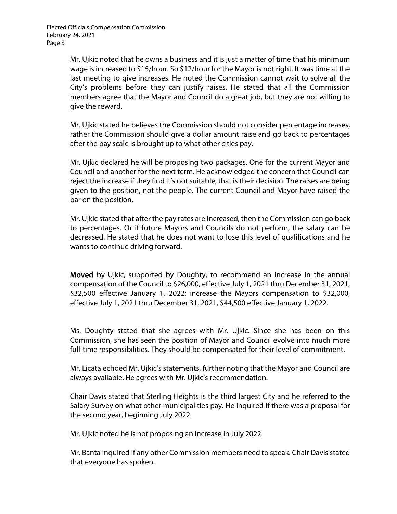Elected Officials Compensation Commission February 24, 2021 Page 3

> Mr. Ujkic noted that he owns a business and it is just a matter of time that his minimum wage is increased to \$15/hour. So \$12/hour for the Mayor is not right. It was time at the last meeting to give increases. He noted the Commission cannot wait to solve all the City's problems before they can justify raises. He stated that all the Commission members agree that the Mayor and Council do a great job, but they are not willing to give the reward.

> Mr. Ujkic stated he believes the Commission should not consider percentage increases, rather the Commission should give a dollar amount raise and go back to percentages after the pay scale is brought up to what other cities pay.

> Mr. Ujkic declared he will be proposing two packages. One for the current Mayor and Council and another for the next term. He acknowledged the concern that Council can reject the increase if they find it's not suitable, that is their decision. The raises are being given to the position, not the people. The current Council and Mayor have raised the bar on the position.

> Mr. Ujkic stated that after the pay rates are increased, then the Commission can go back to percentages. Or if future Mayors and Councils do not perform, the salary can be decreased. He stated that he does not want to lose this level of qualifications and he wants to continue driving forward.

> Moved by Ujkic, supported by Doughty, to recommend an increase in the annual compensation of the Council to \$26,000, effective July 1, 2021 thru December 31, 2021, \$32,500 effective January 1, 2022; increase the Mayors compensation to \$32,000, effective July 1, 2021 thru December 31, 2021, \$44,500 effective January 1, 2022.

> Ms. Doughty stated that she agrees with Mr. Ujkic. Since she has been on this Commission, she has seen the position of Mayor and Council evolve into much more full-time responsibilities. They should be compensated for their level of commitment.

> Mr. Licata echoed Mr. Ujkic's statements, further noting that the Mayor and Council are always available. He agrees with Mr. Ujkic's recommendation.

> Chair Davis stated that Sterling Heights is the third largest City and he referred to the Salary Survey on what other municipalities pay. He inquired if there was a proposal for the second year, beginning July 2022.

Mr. Ujkic noted he is not proposing an increase in July 2022.

Mr. Banta inquired if any other Commission members need to speak. Chair Davis stated that everyone has spoken.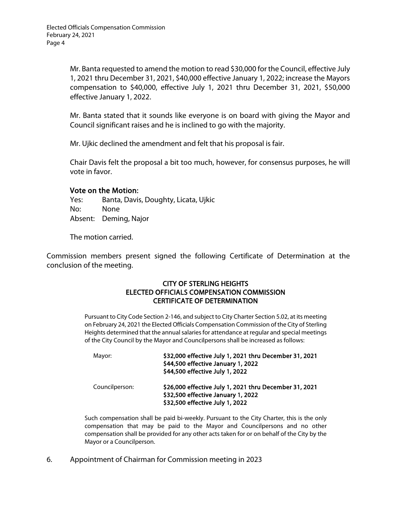Mr. Banta requested to amend the motion to read \$30,000 for the Council, effective July 1, 2021 thru December 31, 2021, \$40,000 effective January 1, 2022; increase the Mayors compensation to \$40,000, effective July 1, 2021 thru December 31, 2021, \$50,000 effective January 1, 2022.

Mr. Banta stated that it sounds like everyone is on board with giving the Mayor and Council significant raises and he is inclined to go with the majority.

Mr. Ujkic declined the amendment and felt that his proposal is fair.

Chair Davis felt the proposal a bit too much, however, for consensus purposes, he will vote in favor.

### Vote on the Motion:

Yes: Banta, Davis, Doughty, Licata, Ujkic No: None Absent: Deming, Najor

The motion carried.

Commission members present signed the following Certificate of Determination at the conclusion of the meeting.

#### CITY OF STERLING HEIGHTS ELECTED OFFICIALS COMPENSATION COMMISSION CERTIFICATE OF DETERMINATION

Pursuant to City Code Section 2-146, and subject to City Charter Section 5.02, at its meeting on February 24, 2021 the Elected Officials Compensation Commission of the City of Sterling Heights determined that the annual salaries for attendance at regular and special meetings of the City Council by the Mayor and Councilpersons shall be increased as follows:

| Mayor:         | \$32,000 effective July 1, 2021 thru December 31, 2021<br>\$44,500 effective January 1, 2022<br>\$44,500 effective July 1, 2022 |
|----------------|---------------------------------------------------------------------------------------------------------------------------------|
| Councilperson: | \$26,000 effective July 1, 2021 thru December 31, 2021<br>\$32,500 effective January 1, 2022<br>\$32,500 effective July 1, 2022 |

Such compensation shall be paid bi-weekly. Pursuant to the City Charter, this is the only compensation that may be paid to the Mayor and Councilpersons and no other compensation shall be provided for any other acts taken for or on behalf of the City by the Mayor or a Councilperson.

6. Appointment of Chairman for Commission meeting in 2023